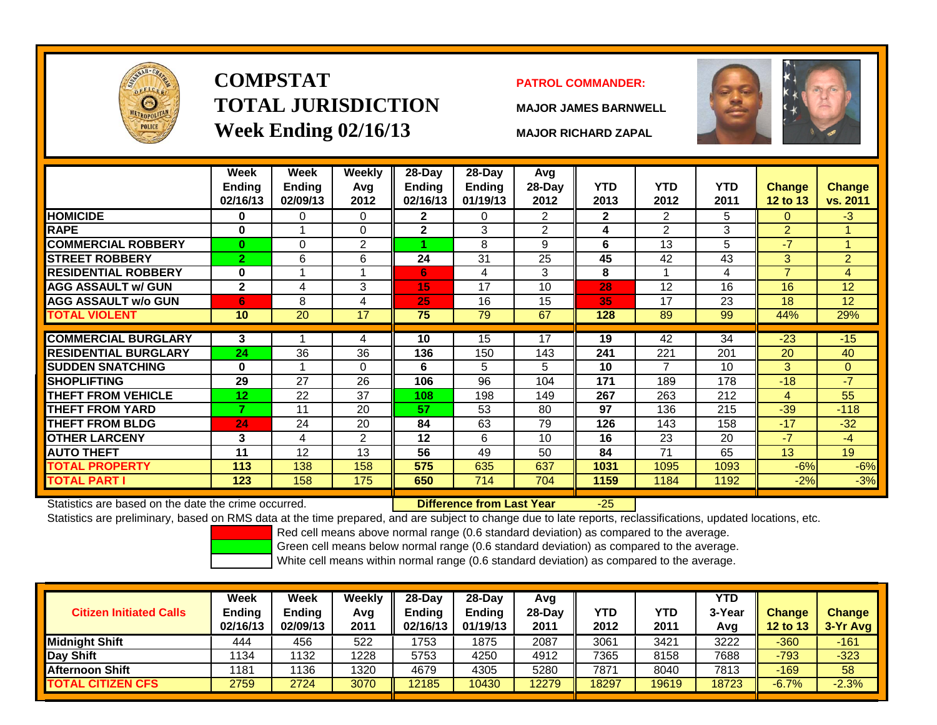

# **COMPSTATTOTAL JURISDICTIONWeek Ending 02/16/13 MAJOR RICHARD ZAPAL**

## **PATROL COMMANDER:**

**MAJOR JAMES BARNWELL**

-25



|                             | Week<br>Ending<br>02/16/13 | Week<br><b>Ending</b><br>02/09/13 | <b>Weekly</b><br>Avg<br>2012 | 28-Day<br><b>Endina</b><br>02/16/13 | 28-Day<br><b>Ending</b><br>01/19/13 | Avg<br>$28-Day$<br>2012 | <b>YTD</b><br>2013 | <b>YTD</b><br>2012 | <b>YTD</b><br>2011 | <b>Change</b><br>12 to 13 | <b>Change</b><br>vs. 2011 |
|-----------------------------|----------------------------|-----------------------------------|------------------------------|-------------------------------------|-------------------------------------|-------------------------|--------------------|--------------------|--------------------|---------------------------|---------------------------|
| <b>HOMICIDE</b>             | 0                          | 0                                 | $\Omega$                     | $\mathbf{2}$                        | 0                                   | $\overline{2}$          | $\mathbf{2}$       | 2                  | 5                  | $\Omega$                  | $-3$                      |
| <b>RAPE</b>                 | $\bf{0}$                   |                                   | $\Omega$                     | $\mathbf{2}$                        | 3                                   | $\overline{2}$          | 4                  | $\overline{2}$     | 3                  | $\overline{2}$            |                           |
| <b>COMMERCIAL ROBBERY</b>   | $\bf{0}$                   | 0                                 | 2                            |                                     | 8                                   | 9                       | 6                  | 13                 | 5                  | $-7$                      | 4                         |
| <b>STREET ROBBERY</b>       | $\overline{2}$             | 6                                 | 6                            | 24                                  | 31                                  | 25                      | 45                 | 42                 | 43                 | 3                         | $\overline{2}$            |
| <b>RESIDENTIAL ROBBERY</b>  | $\bf{0}$                   |                                   |                              | 6                                   | 4                                   | 3                       | 8                  |                    | 4                  | $\overline{7}$            | 4                         |
| <b>AGG ASSAULT w/ GUN</b>   | $\mathbf{2}$               | 4                                 | 3                            | 15                                  | 17                                  | 10                      | 28                 | 12                 | 16                 | 16                        | 12                        |
| <b>AGG ASSAULT w/o GUN</b>  | 6                          | 8                                 | 4                            | 25                                  | 16                                  | 15                      | 35                 | 17                 | 23                 | 18                        | 12                        |
| <b>TOTAL VIOLENT</b>        | 10                         | 20                                | 17                           | 75                                  | 79                                  | 67                      | 128                | 89                 | 99                 | 44%                       | 29%                       |
|                             |                            |                                   |                              |                                     |                                     |                         |                    |                    |                    |                           |                           |
| <b>COMMERCIAL BURGLARY</b>  | 3                          |                                   | 4                            | 10                                  | 15                                  | 17                      | 19                 | 42                 | 34                 | $-23$                     | $-15$                     |
| <b>RESIDENTIAL BURGLARY</b> | 24                         | 36                                | 36                           | 136                                 | 150                                 | 143                     | 241                | 221                | 201                | 20                        | 40                        |
| <b>SUDDEN SNATCHING</b>     | $\bf{0}$                   |                                   | $\Omega$                     | 6                                   | 5                                   | 5                       | 10                 | $\overline{7}$     | 10                 | 3                         | $\Omega$                  |
| <b>SHOPLIFTING</b>          | 29                         | 27                                | 26                           | 106                                 | 96                                  | 104                     | 171                | 189                | 178                | $-18$                     | $-7$                      |
| <b>THEFT FROM VEHICLE</b>   | 12                         | 22                                | 37                           | 108                                 | 198                                 | 149                     | 267                | 263                | 212                | 4                         | 55                        |
| <b>THEFT FROM YARD</b>      | 7                          | 11                                | 20                           | 57                                  | 53                                  | 80                      | 97                 | 136                | 215                | $-39$                     | $-118$                    |
| <b>THEFT FROM BLDG</b>      | 24                         | 24                                | 20                           | 84                                  | 63                                  | 79                      | 126                | 143                | 158                | $-17$                     | $-32$                     |
| <b>OTHER LARCENY</b>        | 3                          | 4                                 | 2                            | 12                                  | 6                                   | 10                      | 16                 | 23                 | 20                 | $-7$                      | $-4$                      |
| <b>AUTO THEFT</b>           | 11                         | 12                                | 13                           | 56                                  | 49                                  | 50                      | 84                 | 71                 | 65                 | 13                        | 19                        |
| <b>TOTAL PROPERTY</b>       | 113                        | 138                               | 158                          | 575                                 | 635                                 | 637                     | 1031               | 1095               | 1093               | $-6%$                     | $-6%$                     |
| TOTAL PART I                | 123                        | 158                               | 175                          | 650                                 | 714                                 | 704                     | 1159               | 1184               | 1192               | $-2%$                     | $-3%$                     |
|                             |                            |                                   |                              |                                     |                                     |                         |                    |                    |                    |                           |                           |

Statistics are based on the date the crime occurred. **Difference from Last Year** 

Statistics are preliminary, based on RMS data at the time prepared, and are subject to change due to late reports, reclassifications, updated locations, etc.

Red cell means above normal range (0.6 standard deviation) as compared to the average.

Green cell means below normal range (0.6 standard deviation) as compared to the average.

| <b>Citizen Initiated Calls</b> | Week<br>Ending<br>02/16/13 | <b>Week</b><br><b>Ending</b><br>02/09/13 | Weekly<br>Avg<br>2011 | $28-Dav$<br><b>Endina</b><br>02/16/13 | 28-Day<br><b>Ending</b><br>01/19/13 | Avg<br>$28-Dav$<br>2011 | <b>YTD</b><br>2012 | YTD<br>2011 | <b>YTD</b><br>3-Year<br>Avg | <b>Change</b><br><b>12 to 13</b> | <b>Change</b><br>3-Yr Avg |
|--------------------------------|----------------------------|------------------------------------------|-----------------------|---------------------------------------|-------------------------------------|-------------------------|--------------------|-------------|-----------------------------|----------------------------------|---------------------------|
| Midniaht Shift                 | 444                        | 456                                      | 522                   | 1753                                  | 1875                                | 2087                    | 3061               | 3421        | 3222                        | $-360$                           | $-161$                    |
| Day Shift                      | 1134                       | 1132                                     | 1228                  | 5753                                  | 4250                                | 4912                    | 7365               | 8158        | 7688                        | $-793$                           | $-323$                    |
| <b>Afternoon Shift</b>         | 1181                       | 136                                      | 1320                  | 4679                                  | 4305                                | 5280                    | 7871               | 8040        | 7813                        | $-169$                           | 58                        |
| <b>TOTAL CITIZEN CFS</b>       | 2759                       | 2724                                     | 3070                  | 12185                                 | 10430                               | 12279                   | 18297              | 19619       | 18723                       | $-6.7%$                          | $-2.3%$                   |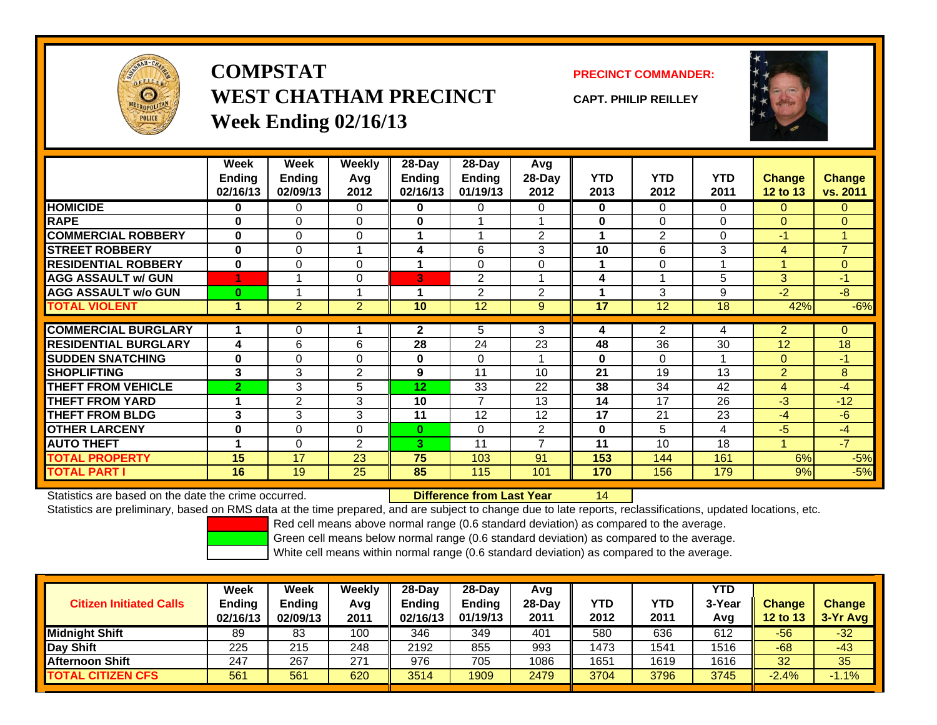

**COMPSTATWEST CHATHAM PRECINCTWeek Ending 02/16/13**

**PRECINCT COMMANDER:**

**CAPT. PHILIP REILLEY**



|                             | Week                 | Week           | Weekly         | 28-Day          | $28-Day$       | <b>Avg</b>      |             |                |            |                |                |
|-----------------------------|----------------------|----------------|----------------|-----------------|----------------|-----------------|-------------|----------------|------------|----------------|----------------|
|                             | <b>Ending</b>        | <b>Ending</b>  | Avg            | Ending          | <b>Ending</b>  | 28-Day          | <b>YTD</b>  | <b>YTD</b>     | <b>YTD</b> | <b>Change</b>  | <b>Change</b>  |
|                             | 02/16/13             | 02/09/13       | 2012           | 02/16/13        | 01/19/13       | 2012            | 2013        | 2012           | 2011       | 12 to 13       | vs. 2011       |
| <b>HOMICIDE</b>             | $\bf{0}$             | 0              | 0              | 0               | 0              | 0               | 0           | $\Omega$       | $\Omega$   | $\Omega$       | $\overline{0}$ |
| <b>RAPE</b>                 | $\bf{0}$             | $\Omega$       | $\Omega$       | 0               |                |                 | $\mathbf 0$ | $\Omega$       | $\Omega$   | $\Omega$       | $\Omega$       |
| <b>COMMERCIAL ROBBERY</b>   | $\mathbf{0}$         | $\Omega$       | 0              |                 |                | 2               | 1           | 2              | $\Omega$   | $-1$           | $\mathbf{1}$   |
| <b>STREET ROBBERY</b>       | $\bf{0}$             | 0              |                | 4               | 6              | 3               | 10          | 6              | 3          | 4              | $\overline{7}$ |
| <b>RESIDENTIAL ROBBERY</b>  | $\bf{0}$             | $\Omega$       | 0              |                 | $\Omega$       | $\Omega$        | 1           | $\Omega$       |            | 4              | $\overline{0}$ |
| <b>AGG ASSAULT w/ GUN</b>   |                      |                | $\Omega$       | 3               | 2              |                 | 4           |                | 5          | 3              | $-1$           |
| <b>AGG ASSAULT w/o GUN</b>  | $\bf{0}$             |                | 1              |                 | 2              | 2               | 1           | 3              | 9          | $-2$           | $-8$           |
| <b>TOTAL VIOLENT</b>        | 1                    | $\overline{2}$ | $\overline{2}$ | 10 <sup>1</sup> | 12             | 9               | 17          | 12             | 18         | 42%            | $-6%$          |
| <b>COMMERCIAL BURGLARY</b>  |                      |                |                |                 |                |                 |             |                |            |                |                |
|                             |                      | 0              |                | $\mathbf{2}$    | 5              | 3               | 4           | $\overline{2}$ | 4          | $\overline{2}$ | $\Omega$       |
| <b>RESIDENTIAL BURGLARY</b> | 4                    | 6              | 6              | 28              | 24             | 23              | 48          | 36             | 30         | 12             | 18             |
| <b>SUDDEN SNATCHING</b>     | $\bf{0}$             | $\Omega$       | 0              | 0               | $\Omega$       |                 | $\mathbf 0$ | $\Omega$       |            | $\Omega$       | $-1$           |
| <b>SHOPLIFTING</b>          | 3                    | 3              | 2              | 9               | 11             | 10 <sup>1</sup> | 21          | 19             | 13         | $\overline{2}$ | 8              |
| <b>THEFT FROM VEHICLE</b>   | $\overline{2}$       | 3              | 5              | 12              | 33             | 22              | 38          | 34             | 42         | 4              | $-4$           |
| <b>THEFT FROM YARD</b>      |                      | $\overline{2}$ | 3              | 10              | $\overline{7}$ | 13              | 14          | 17             | 26         | $-3$           | $-12$          |
| <b>THEFT FROM BLDG</b>      | 3                    | 3              | 3              | 11              | 12             | 12              | 17          | 21             | 23         | $-4$           | $-6$           |
| <b>OTHER LARCENY</b>        | $\bf{0}$             | $\Omega$       | 0              | $\bf{0}$        | 0              | $\overline{2}$  | $\bf{0}$    | 5              | 4          | $-5$           | $-4$           |
| <b>AUTO THEFT</b>           | $\blacktriangleleft$ | 0              | 2              | 3.              | 11             | $\overline{ }$  | 11          | 10             | 18         |                | $-7$           |
| <b>TOTAL PROPERTY</b>       | 15                   | 17             | 23             | 75              | 103            | 91              | 153         | 144            | 161        | 6%             | $-5%$          |
| <b>TOTAL PART I</b>         | 16                   | 19             | 25             | 85              | 115            | 101             | 170         | 156            | 179        | 9%             | $-5%$          |

Statistics are based on the date the crime occurred. **Difference from Last Year** 

Statistics are preliminary, based on RMS data at the time prepared, and are subject to change due to late reports, reclassifications, updated locations, etc.

Red cell means above normal range (0.6 standard deviation) as compared to the average.

14

Green cell means below normal range (0.6 standard deviation) as compared to the average.

| <b>Citizen Initiated Calls</b> | Week<br>Ending<br>02/16/13 | <b>Week</b><br><b>Ending</b><br>02/09/13 | Weekly<br>Avg<br>2011 | 28-Day<br>Ending<br>02/16/13 | 28-Dav<br><b>Ending</b><br>01/19/13 | Avg<br>$28-Dav$<br>2011 | YTD<br>2012 | YTD<br>2011 | <b>YTD</b><br>3-Year<br>Avg | <b>Change</b><br><b>12 to 13</b> | <b>Change</b><br>3-Yr Avg |
|--------------------------------|----------------------------|------------------------------------------|-----------------------|------------------------------|-------------------------------------|-------------------------|-------------|-------------|-----------------------------|----------------------------------|---------------------------|
| <b>Midnight Shift</b>          | 89                         | 83                                       | 100                   | 346                          | 349                                 | 401                     | 580         | 636         | 612                         | $-56$                            | $-32$                     |
| Day Shift                      | 225                        | 215                                      | 248                   | 2192                         | 855                                 | 993                     | 1473        | 1541        | 1516                        | $-68$                            | $-43$                     |
| <b>Afternoon Shift</b>         | 247                        | 267                                      | 271                   | 976                          | 705                                 | 1086                    | 1651        | 1619        | 1616                        | 32                               | 35                        |
| <b>TOTAL CITIZEN CFS</b>       | 561                        | 561                                      | 620                   | 3514                         | 1909                                | 2479                    | 3704        | 3796        | 3745                        | $-2.4%$                          | $-1.1%$                   |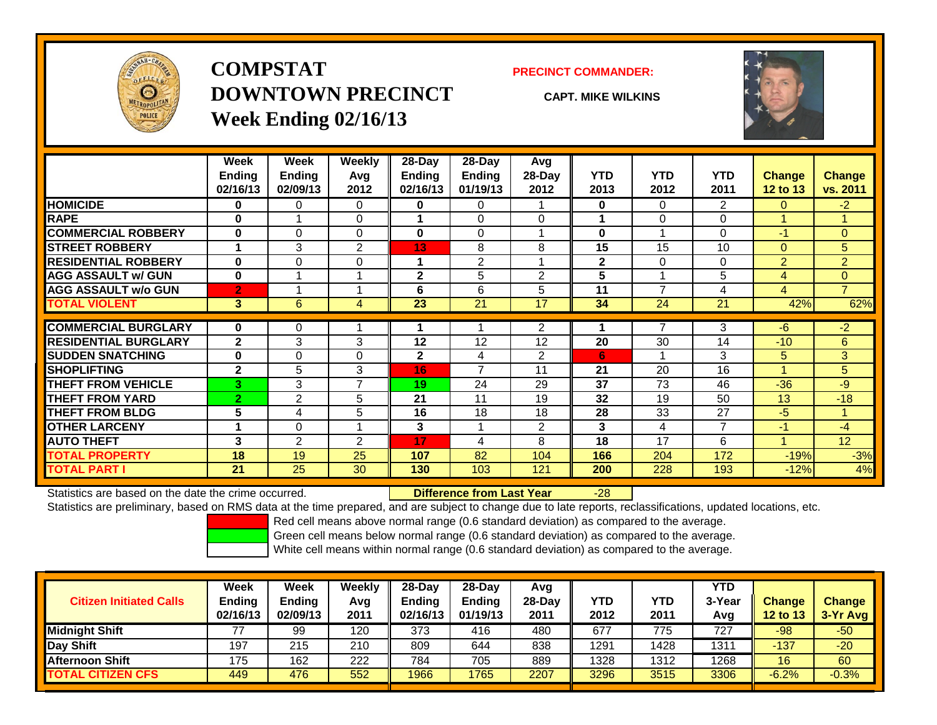

## **COMPSTATDOWNTOWN PRECINCTWeek Ending 02/16/13**

### **PRECINCT COMMANDER:**

**CAPT. MIKE WILKINS**



|                             | Week<br><b>Ending</b> | Week<br>Ending | Weekly<br>Avq  | $28-Day$<br>Ending | $28$ -Day<br><b>Ending</b> | Avg<br>$28-Day$ | <b>YTD</b>   | <b>YTD</b>     | <b>YTD</b>     | <b>Change</b>  | <b>Change</b>  |
|-----------------------------|-----------------------|----------------|----------------|--------------------|----------------------------|-----------------|--------------|----------------|----------------|----------------|----------------|
|                             | 02/16/13              | 02/09/13       | 2012           | 02/16/13           | 01/19/13                   | 2012            | 2013         | 2012           | 2011           | 12 to 13       | vs. 2011       |
| <b>HOMICIDE</b>             | 0                     | 0              | $\Omega$       | 0                  | 0                          |                 | 0            | 0              | $\overline{2}$ | $\mathbf{0}$   | $-2$           |
| <b>RAPE</b>                 | 0                     |                | $\mathbf 0$    |                    | 0                          | $\Omega$        |              | 0              | 0              |                |                |
| <b>COMMERCIAL ROBBERY</b>   | $\bf{0}$              | 0              | $\Omega$       | 0                  | 0                          |                 | $\mathbf{0}$ |                | 0              | -1             | $\Omega$       |
| <b>STREET ROBBERY</b>       | 1                     | 3              | 2              | 13                 | 8                          | 8               | 15           | 15             | 10             | $\Omega$       | 5 <sup>1</sup> |
| <b>RESIDENTIAL ROBBERY</b>  | $\bf{0}$              | 0              | $\mathbf 0$    |                    | $\overline{2}$             |                 | $\mathbf{2}$ | 0              | 0              | $\overline{2}$ | $\overline{2}$ |
| <b>AGG ASSAULT w/ GUN</b>   | $\bf{0}$              |                |                | $\mathbf{2}$       | 5                          | $\overline{2}$  | 5            |                | 5              | $\overline{4}$ | $\overline{0}$ |
| <b>AGG ASSAULT w/o GUN</b>  | $\overline{2}$        |                |                | 6                  | 6                          | 5               | 11           | $\overline{7}$ | 4              | $\overline{4}$ | $\overline{7}$ |
| <b>TOTAL VIOLENT</b>        | 3                     | 6              | 4              | 23                 | 21                         | 17              | 34           | 24             | 21             | 42%            | 62%            |
| <b>COMMERCIAL BURGLARY</b>  | $\bf{0}$              | 0              |                |                    |                            | 2               |              | 7              | 3              | -6             | $-2$           |
| <b>RESIDENTIAL BURGLARY</b> | $\mathbf{2}$          | 3              | 3              | 12                 | 12                         | 12              | 20           | 30             | 14             | $-10$          | 6              |
| <b>SUDDEN SNATCHING</b>     | 0                     | 0              | $\Omega$       | $\mathbf{2}$       | 4                          | $\overline{2}$  | 6            |                | 3              | 5              | 3 <sup>1</sup> |
| <b>SHOPLIFTING</b>          | $\mathbf{2}$          | 5              | 3              | 16                 | 7                          | 11              | 21           | 20             | 16             |                | 5              |
| <b>THEFT FROM VEHICLE</b>   | 3                     | 3              | $\overline{7}$ | 19                 | 24                         | 29              | 37           | 73             | 46             | $-36$          | $-9$           |
| <b>THEFT FROM YARD</b>      | $\overline{2}$        | $\overline{2}$ | 5              | 21                 | 11                         | 19              | 32           | 19             | 50             | 13             | $-18$          |
| <b>THEFT FROM BLDG</b>      | 5                     | 4              | 5              | 16                 | 18                         | 18              | 28           | 33             | 27             | -5             | 1              |
| <b>OTHER LARCENY</b>        | 1                     | 0              |                | 3                  |                            | $\overline{2}$  | 3            | 4              | 7              | $-1$           | $-4$           |
| <b>AUTO THEFT</b>           | 3                     | $\overline{2}$ | $\overline{2}$ | 17                 | 4                          | 8               | 18           | 17             | 6              |                | 12             |
| <b>TOTAL PROPERTY</b>       | 18                    | 19             | 25             | 107                | 82                         | 104             | 166          | 204            | 172            | $-19%$         | $-3%$          |
| <b>TOTAL PART I</b>         | 21                    | 25             | 30             | 130                | 103                        | 121             | 200          | 228            | 193            | $-12%$         | 4%             |

Statistics are based on the date the crime occurred. **Difference from Last Year** 

r -28

Statistics are preliminary, based on RMS data at the time prepared, and are subject to change due to late reports, reclassifications, updated locations, etc.

Red cell means above normal range (0.6 standard deviation) as compared to the average.

Green cell means below normal range (0.6 standard deviation) as compared to the average.

| <b>Citizen Initiated Calls</b> | Week<br><b>Ending</b><br>02/16/13 | Week<br>Ending<br>02/09/13 | Weekly<br>Avg<br>2011 | $28-Dav$<br><b>Ending</b><br>02/16/13 | $28$ -Dav<br><b>Ending</b><br>01/19/13 | Avg<br>28-Dav<br>2011 | YTD<br>2012 | <b>YTD</b><br>2011 | <b>YTD</b><br>3-Year<br>Avg | <b>Change</b><br>12 to 13 | <b>Change</b><br>3-Yr Avg |
|--------------------------------|-----------------------------------|----------------------------|-----------------------|---------------------------------------|----------------------------------------|-----------------------|-------------|--------------------|-----------------------------|---------------------------|---------------------------|
| <b>Midnight Shift</b>          | 77                                | 99                         | 120                   | 373                                   | 416                                    | 480                   | 677         | 775                | 727                         | -98                       | $-50$                     |
| Day Shift                      | 197                               | 215                        | 210                   | 809                                   | 644                                    | 838                   | 1291        | 428                | 1311                        | $-137$                    | $-20$                     |
| <b>Afternoon Shift</b>         | 175                               | 162                        | 222                   | 784                                   | 705                                    | 889                   | 1328        | 1312               | 1268                        | 16                        | 60                        |
| <b>TOTAL CITIZEN CFS</b>       | 449                               | 476                        | 552                   | 1966                                  | 1765                                   | 2207                  | 3296        | 3515               | 3306                        | $-6.2%$                   | $-0.3%$                   |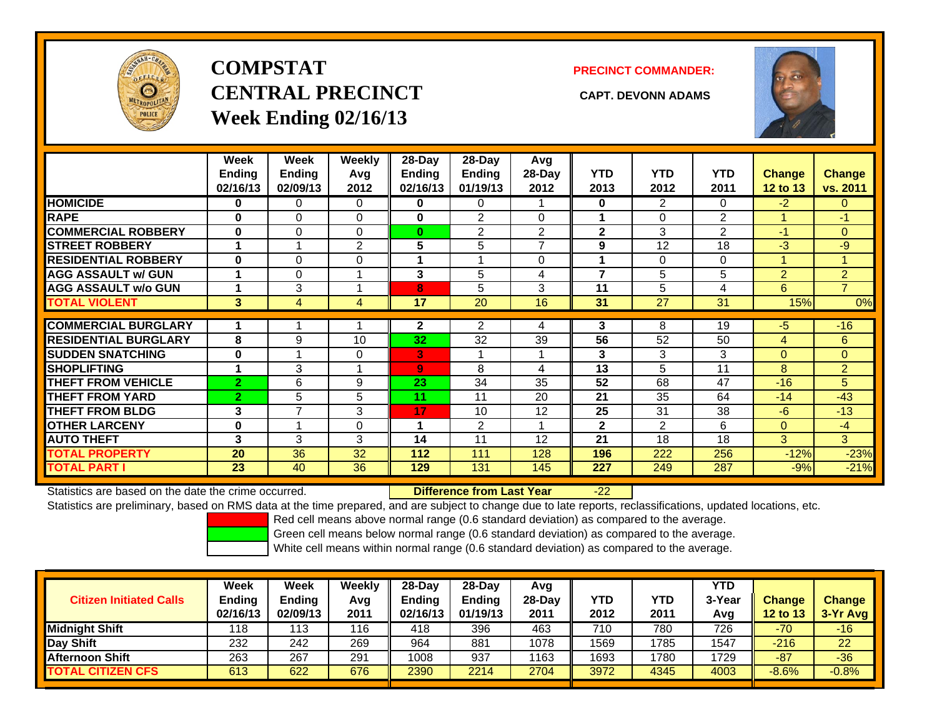

# **COMPSTATCENTRAL PRECINCT CAPT. DEVONN ADAMSWeek Ending 02/16/13**

**PRECINCT COMMANDER:**



|                             | Week<br><b>Ending</b><br>02/16/13 | Week<br><b>Ending</b><br>02/09/13 | <b>Weekly</b><br>Avg<br>2012 | $28$ -Day<br>Endina<br>02/16/13 | $28$ -Day<br><b>Endina</b><br>01/19/13 | Avg<br>28-Day<br>2012 | <b>YTD</b><br>2013       | <b>YTD</b><br>2012 | <b>YTD</b><br>2011 | <b>Change</b><br>12 to 13 | Change<br>vs. 2011 |
|-----------------------------|-----------------------------------|-----------------------------------|------------------------------|---------------------------------|----------------------------------------|-----------------------|--------------------------|--------------------|--------------------|---------------------------|--------------------|
| <b>HOMICIDE</b>             | 0                                 | 0                                 | 0                            | 0                               | 0                                      |                       | $\bf{0}$                 | 2                  | 0                  | $-2$                      | 0                  |
| <b>RAPE</b>                 | 0                                 | 0                                 | $\Omega$                     | $\bf{0}$                        | 2                                      | $\Omega$              |                          | $\Omega$           | 2                  |                           | -1                 |
| <b>COMMERCIAL ROBBERY</b>   | $\bf{0}$                          | 0                                 | $\Omega$                     | $\bf{0}$                        | $\overline{2}$                         | $\overline{2}$        | $\mathbf{2}$             | 3                  | 2                  | $-1$                      | $\overline{0}$     |
| <b>STREET ROBBERY</b>       | 1                                 |                                   | $\overline{2}$               | 5                               | 5                                      | $\overline{ }$        | 9                        | 12                 | 18                 | $-3$                      | $-9$               |
| <b>RESIDENTIAL ROBBERY</b>  | $\bf{0}$                          | $\Omega$                          | 0                            |                                 |                                        | $\Omega$              |                          | 0                  | $\Omega$           |                           |                    |
| <b>AGG ASSAULT w/ GUN</b>   |                                   | 0                                 |                              | 3                               | 5                                      | 4                     | $\overline{\phantom{a}}$ | 5                  | 5                  | 2                         | $\overline{2}$     |
| <b>AGG ASSAULT w/o GUN</b>  |                                   | 3                                 |                              | 8                               | 5                                      | 3                     | 11                       | 5                  | 4                  | 6                         | $\overline{7}$     |
| <b>TOTAL VIOLENT</b>        | 3                                 | 4                                 | 4                            | 17                              | 20                                     | 16                    | 31                       | 27                 | 31                 | 15%                       | 0%                 |
| <b>COMMERCIAL BURGLARY</b>  |                                   |                                   |                              | $\mathbf{2}$                    | 2                                      |                       | 3                        | 8                  | 19                 | $-5$                      | $-16$              |
|                             |                                   |                                   |                              |                                 |                                        | 4                     |                          |                    |                    |                           |                    |
| <b>RESIDENTIAL BURGLARY</b> | 8                                 | 9                                 | 10                           | 32                              | 32                                     | 39                    | 56                       | 52                 | 50                 | 4                         | 6                  |
| <b>SUDDEN SNATCHING</b>     | 0                                 |                                   | $\mathbf 0$                  | 3                               |                                        |                       | 3                        | 3                  | 3                  | $\mathbf{0}$              | $\overline{0}$     |
| <b>SHOPLIFTING</b>          |                                   | 3                                 |                              | 9                               | 8                                      | 4                     | 13                       | 5                  | 11                 | 8                         | $\overline{2}$     |
| <b>THEFT FROM VEHICLE</b>   | $\overline{2}$                    | 6                                 | 9                            | 23                              | 34                                     | 35                    | 52                       | 68                 | 47                 | $-16$                     | 5                  |
| <b>THEFT FROM YARD</b>      | $\overline{2}$                    | 5                                 | 5                            | 11                              | 11                                     | 20                    | 21                       | 35                 | 64                 | $-14$                     | $-43$              |
| <b>THEFT FROM BLDG</b>      | 3                                 | 7                                 | 3                            | 17                              | 10                                     | 12                    | 25                       | 31                 | 38                 | $-6$                      | $-13$              |
| <b>OTHER LARCENY</b>        | 0                                 |                                   | 0                            |                                 | $\overline{2}$                         | 1                     | $\overline{2}$           | $\overline{2}$     | 6                  | $\mathbf{0}$              | $-4$               |
| <b>AUTO THEFT</b>           | 3                                 | 3                                 | 3                            | 14                              | 11                                     | 12                    | 21                       | 18                 | 18                 | 3                         | 3                  |
| <b>TOTAL PROPERTY</b>       | 20                                | 36                                | 32                           | 112                             | 111                                    | 128                   | 196                      | 222                | 256                | $-12%$                    | $-23%$             |
| <b>TOTAL PART I</b>         | 23                                | 40                                | 36                           | 129                             | 131                                    | 145                   | 227                      | 249                | 287                | $-9%$                     | $-21%$             |

Statistics are based on the date the crime occurred. **Difference from Last Year** 

-22

Statistics are preliminary, based on RMS data at the time prepared, and are subject to change due to late reports, reclassifications, updated locations, etc.

Red cell means above normal range (0.6 standard deviation) as compared to the average.

Green cell means below normal range (0.6 standard deviation) as compared to the average.

|                                | Week          | Week     | Weekly | $28-Dav$      | 28-Day        | Avg      |            |            | <b>YTD</b> |          |               |
|--------------------------------|---------------|----------|--------|---------------|---------------|----------|------------|------------|------------|----------|---------------|
| <b>Citizen Initiated Calls</b> | <b>Ending</b> | Ending   | Avg    | <b>Ending</b> | <b>Ending</b> | $28-Day$ | <b>YTD</b> | <b>YTD</b> | 3-Year     | Change   | <b>Change</b> |
|                                | 02/16/13      | 02/09/13 | 2011   | 02/16/13      | 01/19/13      | 2011     | 2012       | 2011       | Avg        | 12 to 13 | $3-Yr$ Avg    |
| <b>Midnight Shift</b>          | 118           | 113      | 116    | 418           | 396           | 463      | 710        | 780        | 726        | $-70$    | $-16$         |
| Day Shift                      | 232           | 242      | 269    | 964           | 881           | 1078     | 1569       | '785       | 1547       | $-216$   | 22            |
| <b>Afternoon Shift</b>         | 263           | 267      | 291    | 1008          | 937           | 1163     | 1693       | 1780       | 1729       | $-87$    | $-36$         |
| <b>TOTAL CITIZEN CFS</b>       | 613           | 622      | 676    | 2390          | 2214          | 2704     | 3972       | 4345       | 4003       | $-8.6%$  | $-0.8%$       |
|                                |               |          |        |               |               |          |            |            |            |          |               |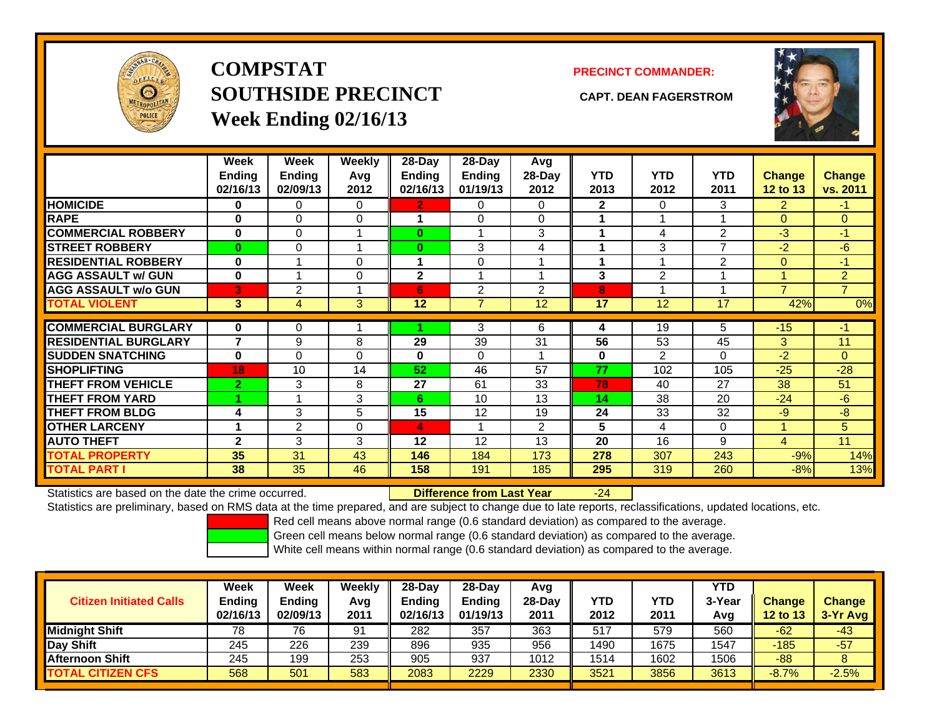

**COMPSTATSOUTHSIDE PRECINCT CAPT. DEAN FAGERSTROMWeek Ending 02/16/13**

## **PRECINCT COMMANDER:**



|                             | Week<br>Ending<br>02/16/13 | Week<br>Ending<br>02/09/13 | <b>Weekly</b><br>Avq<br>2012 | 28-Day<br>Ending<br>02/16/13 | $28-Day$<br><b>Ending</b><br>01/19/13 | Avg<br>$28-Day$<br>2012 | <b>YTD</b><br>2013 | <b>YTD</b><br>2012 | <b>YTD</b><br>2011 | <b>Change</b><br>12 to 13 | <b>Change</b><br>vs. 2011 |
|-----------------------------|----------------------------|----------------------------|------------------------------|------------------------------|---------------------------------------|-------------------------|--------------------|--------------------|--------------------|---------------------------|---------------------------|
| <b>HOMICIDE</b>             | 0                          | 0                          | 0                            | 2.                           | $\Omega$                              | 0                       | $\mathbf{2}$       | $\Omega$           | 3                  | $\overline{2}$            | -1.                       |
| <b>RAPE</b>                 | $\bf{0}$                   | $\Omega$                   | $\mathbf 0$                  |                              | $\Omega$                              | $\Omega$                |                    |                    |                    | $\Omega$                  | $\Omega$                  |
| <b>COMMERCIAL ROBBERY</b>   | $\bf{0}$                   | 0                          |                              | $\bf{0}$                     |                                       | 3                       |                    | 4                  | $\overline{2}$     | $-3$                      | $-1$                      |
| <b>STREET ROBBERY</b>       | $\bf{0}$                   | 0                          |                              | 0                            | 3                                     | 4                       |                    | 3                  | 7                  | $-2$                      | $-6$                      |
| <b>RESIDENTIAL ROBBERY</b>  | $\bf{0}$                   |                            | $\Omega$                     |                              | 0                                     |                         |                    |                    | 2                  | $\mathbf{0}$              | $-1$                      |
| <b>AGG ASSAULT w/ GUN</b>   | $\bf{0}$                   | 4                          | $\Omega$                     | $\mathbf{2}$                 |                                       |                         | 3                  | 2                  |                    |                           | $\overline{2}$            |
| <b>AGG ASSAULT w/o GUN</b>  | 3                          | 2                          |                              | 6                            | 2                                     | 2                       | 8                  |                    |                    | 7                         | $\overline{7}$            |
| <b>TOTAL VIOLENT</b>        | $\mathbf{3}$               | 4                          | 3                            | 12                           | $\overline{7}$                        | 12                      | 17                 | 12                 | 17                 | 42%                       | 0%                        |
|                             |                            |                            |                              |                              |                                       |                         |                    |                    |                    |                           |                           |
| <b>COMMERCIAL BURGLARY</b>  | 0                          | 0                          |                              |                              | 3                                     | 6                       | 4                  | 19                 | 5                  | $-15$                     | -1                        |
| <b>RESIDENTIAL BURGLARY</b> | $\overline{7}$             | 9                          | 8                            | 29                           | 39                                    | 31                      | 56                 | 53                 | 45                 | 3                         | 11                        |
| <b>SUDDEN SNATCHING</b>     | $\bf{0}$                   | 0                          | $\Omega$                     | 0                            | $\Omega$                              |                         | 0                  | 2                  | 0                  | -2                        | $\Omega$                  |
| <b>SHOPLIFTING</b>          | 18                         | 10                         | 14                           | 52                           | 46                                    | 57                      | 77                 | 102                | 105                | $-25$                     | $-28$                     |
| <b>THEFT FROM VEHICLE</b>   | $\overline{2}$             | 3                          | 8                            | 27                           | 61                                    | 33                      | 78                 | 40                 | 27                 | 38                        | 51                        |
| <b>THEFT FROM YARD</b>      |                            |                            | 3                            | 6                            | 10                                    | 13                      | 14                 | 38                 | 20                 | $-24$                     | $-6$                      |
| <b>THEFT FROM BLDG</b>      | 4                          | 3                          | 5                            | 15                           | 12                                    | 19                      | 24                 | 33                 | 32                 | $-9$                      | -8                        |
| <b>OTHER LARCENY</b>        | 1                          | 2                          | $\mathbf 0$                  | 4                            | 4                                     | $\overline{2}$          | 5                  | 4                  | 0                  | и                         | 5                         |
| <b>AUTO THEFT</b>           | $\mathbf{2}$               | 3                          | 3                            | 12                           | 12                                    | 13                      | 20                 | 16                 | 9                  | 4                         | 11                        |
| <b>TOTAL PROPERTY</b>       | 35                         | 31                         | 43                           | 146                          | 184                                   | 173                     | 278                | 307                | 243                | $-9%$                     | 14%                       |
| <b>TOTAL PART I</b>         | 38                         | 35                         | 46                           | 158                          | 191                                   | 185                     | 295                | 319                | 260                | $-8%$                     | 13%                       |

Statistics are based on the date the crime occurred. **Difference from Last Year** 

### r -24

Statistics are preliminary, based on RMS data at the time prepared, and are subject to change due to late reports, reclassifications, updated locations, etc.

Red cell means above normal range (0.6 standard deviation) as compared to the average.

Green cell means below normal range (0.6 standard deviation) as compared to the average.

| <b>Citizen Initiated Calls</b> | Week<br><b>Ending</b><br>02/16/13 | Week<br>Ending<br>02/09/13 | Weekly<br>Avg<br>2011 | $28-Day$<br><b>Ending</b><br>02/16/13 | $28-Day$<br><b>Ending</b><br>01/19/13 | Avg<br>28-Dav<br>2011 | YTD<br>2012 | <b>YTD</b><br>2011 | <b>YTD</b><br>3-Year<br>Avg | <b>Change</b><br>12 to 13 | <b>Change</b><br>$3-Yr$ Avg |
|--------------------------------|-----------------------------------|----------------------------|-----------------------|---------------------------------------|---------------------------------------|-----------------------|-------------|--------------------|-----------------------------|---------------------------|-----------------------------|
| <b>Midnight Shift</b>          | 78                                | 76                         | 91                    | 282                                   | 357                                   | 363                   | 517         | 579                | 560                         | $-62$                     | $-43$                       |
| Day Shift                      | 245                               | 226                        | 239                   | 896                                   | 935                                   | 956                   | 1490        | 1675               | 1547                        | $-185$                    | $-57$                       |
| <b>Afternoon Shift</b>         | 245                               | 199                        | 253                   | 905                                   | 937                                   | 1012                  | 1514        | 1602               | 1506                        | $-88$                     |                             |
| <b>TOTAL CITIZEN CFS</b>       | 568                               | 501                        | 583                   | 2083                                  | 2229                                  | 2330                  | 3521        | 3856               | 3613                        | $-8.7%$                   | $-2.5%$                     |